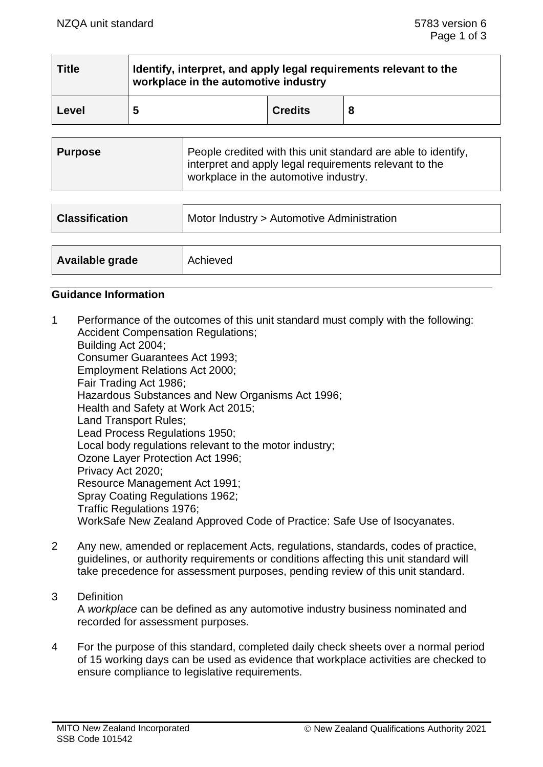| <b>Title</b> | Identify, interpret, and apply legal requirements relevant to the<br>workplace in the automotive industry |                |  |
|--------------|-----------------------------------------------------------------------------------------------------------|----------------|--|
| Level        | 5                                                                                                         | <b>Credits</b> |  |

| Purpose | People credited with this unit standard are able to identify,<br>I interpret and apply legal requirements relevant to the<br>workplace in the automotive industry. |
|---------|--------------------------------------------------------------------------------------------------------------------------------------------------------------------|
|---------|--------------------------------------------------------------------------------------------------------------------------------------------------------------------|

| <b>Classification</b> | Motor Industry > Automotive Administration |  |
|-----------------------|--------------------------------------------|--|
| Available grade       | Achieved                                   |  |

## **Guidance Information**

- 1 Performance of the outcomes of this unit standard must comply with the following: Accident Compensation Regulations; Building Act 2004; Consumer Guarantees Act 1993; Employment Relations Act 2000; Fair Trading Act 1986; Hazardous Substances and New Organisms Act 1996; Health and Safety at Work Act 2015; Land Transport Rules; Lead Process Regulations 1950; Local body regulations relevant to the motor industry; Ozone Layer Protection Act 1996; Privacy Act 2020; Resource Management Act 1991; Spray Coating Regulations 1962; Traffic Regulations 1976; WorkSafe New Zealand Approved Code of Practice: Safe Use of Isocyanates.
- 2 Any new, amended or replacement Acts, regulations, standards, codes of practice, guidelines, or authority requirements or conditions affecting this unit standard will take precedence for assessment purposes, pending review of this unit standard.
- 3 Definition A *workplace* can be defined as any automotive industry business nominated and recorded for assessment purposes.
- 4 For the purpose of this standard, completed daily check sheets over a normal period of 15 working days can be used as evidence that workplace activities are checked to ensure compliance to legislative requirements.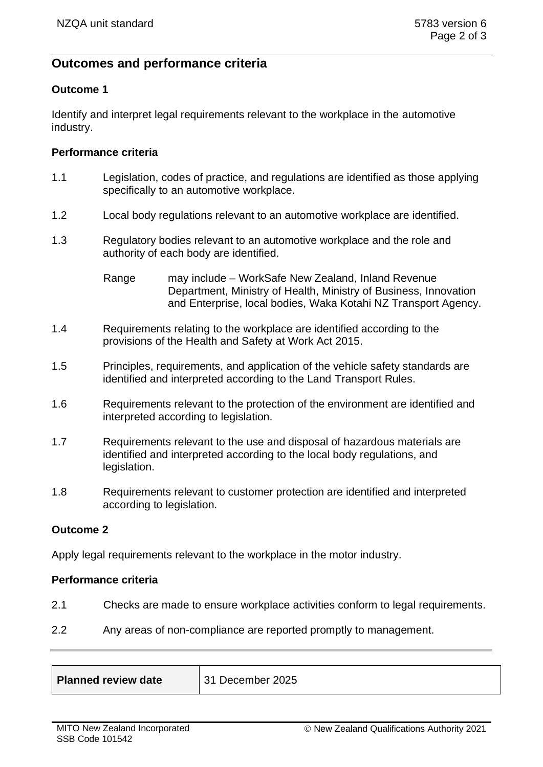# **Outcomes and performance criteria**

## **Outcome 1**

Identify and interpret legal requirements relevant to the workplace in the automotive industry.

## **Performance criteria**

- 1.1 Legislation, codes of practice, and regulations are identified as those applying specifically to an automotive workplace.
- 1.2 Local body regulations relevant to an automotive workplace are identified.
- 1.3 Regulatory bodies relevant to an automotive workplace and the role and authority of each body are identified.

Range may include – WorkSafe New Zealand, Inland Revenue Department, Ministry of Health, Ministry of Business, Innovation and Enterprise, local bodies, Waka Kotahi NZ Transport Agency.

- 1.4 Requirements relating to the workplace are identified according to the provisions of the Health and Safety at Work Act 2015.
- 1.5 Principles, requirements, and application of the vehicle safety standards are identified and interpreted according to the Land Transport Rules.
- 1.6 Requirements relevant to the protection of the environment are identified and interpreted according to legislation.
- 1.7 Requirements relevant to the use and disposal of hazardous materials are identified and interpreted according to the local body regulations, and legislation.
- 1.8 Requirements relevant to customer protection are identified and interpreted according to legislation.

#### **Outcome 2**

Apply legal requirements relevant to the workplace in the motor industry.

#### **Performance criteria**

- 2.1 Checks are made to ensure workplace activities conform to legal requirements.
- 2.2 Any areas of non-compliance are reported promptly to management.

| Planned review date | $\parallel$ 31 December 2025 |
|---------------------|------------------------------|
|                     |                              |